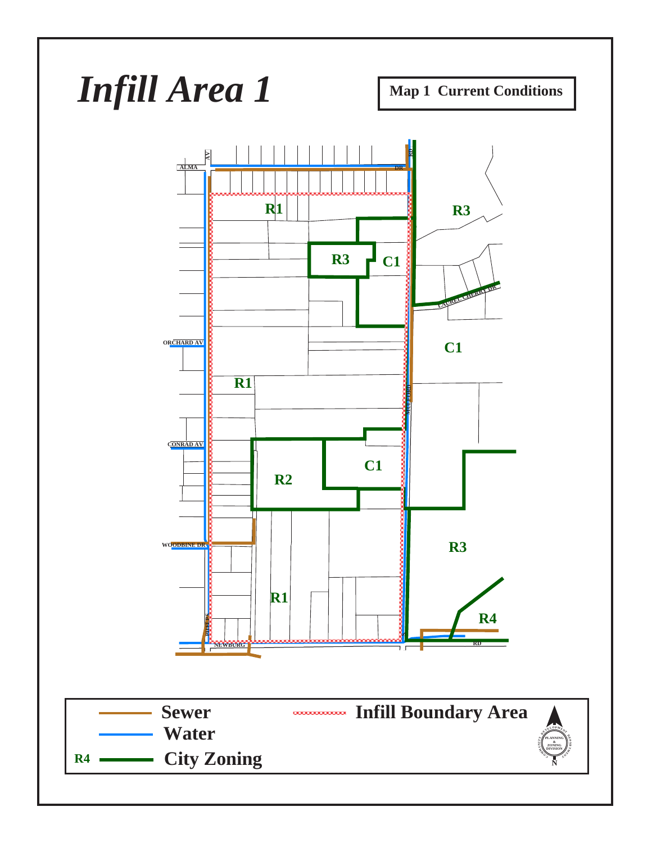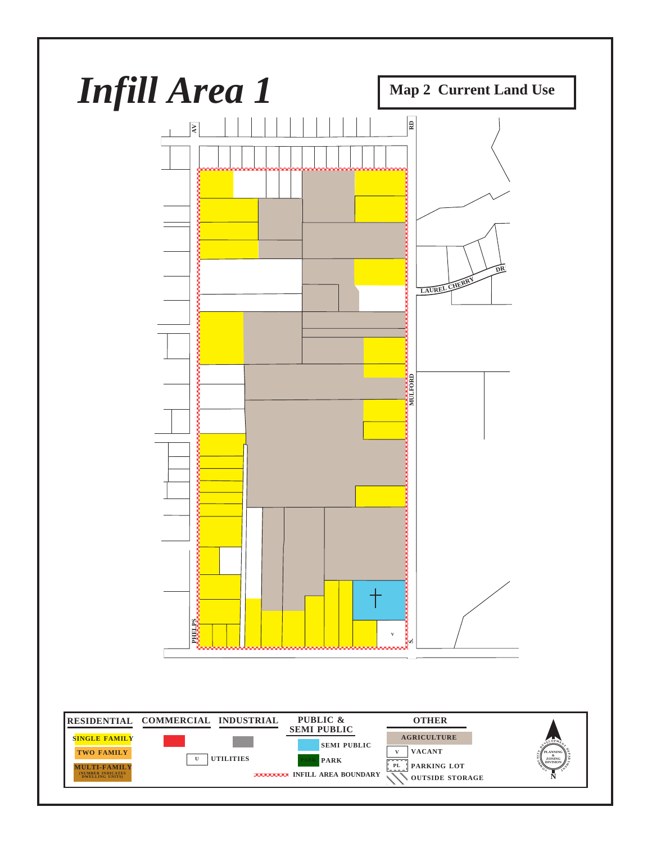